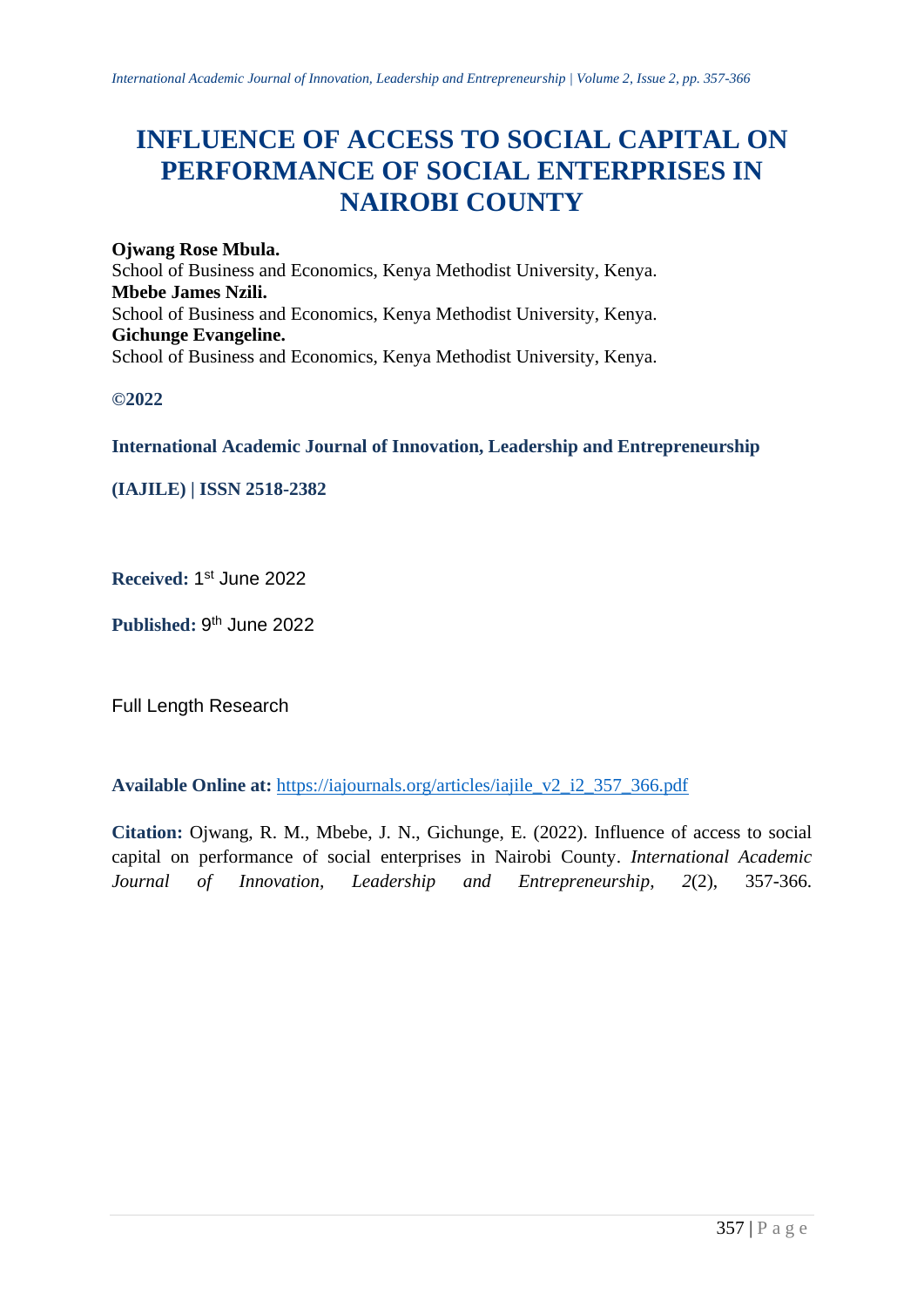# **INFLUENCE OF ACCESS TO SOCIAL CAPITAL ON PERFORMANCE OF SOCIAL ENTERPRISES IN NAIROBI COUNTY**

**Ojwang Rose Mbula.** School of Business and Economics, Kenya Methodist University, Kenya. **Mbebe James Nzili.** School of Business and Economics, Kenya Methodist University, Kenya. **Gichunge Evangeline.** School of Business and Economics, Kenya Methodist University, Kenya.

**©2022**

**International Academic Journal of Innovation, Leadership and Entrepreneurship** 

**(IAJILE) | ISSN 2518-2382**

Received: 1st June 2022

Published: 9<sup>th</sup> June 2022

Full Length Research

**Available Online at:** [https://iajournals.org/articles/iajile\\_v2\\_i2\\_357\\_366.pdf](https://iajournals.org/articles/iajile_v2_i2_357_366.pdf)

**Citation:** Ojwang, R. M., Mbebe, J. N., Gichunge, E. (2022). Influence of access to social capital on performance of social enterprises in Nairobi County. *International Academic Journal of Innovation, Leadership and Entrepreneurship, 2*(2), 357-366.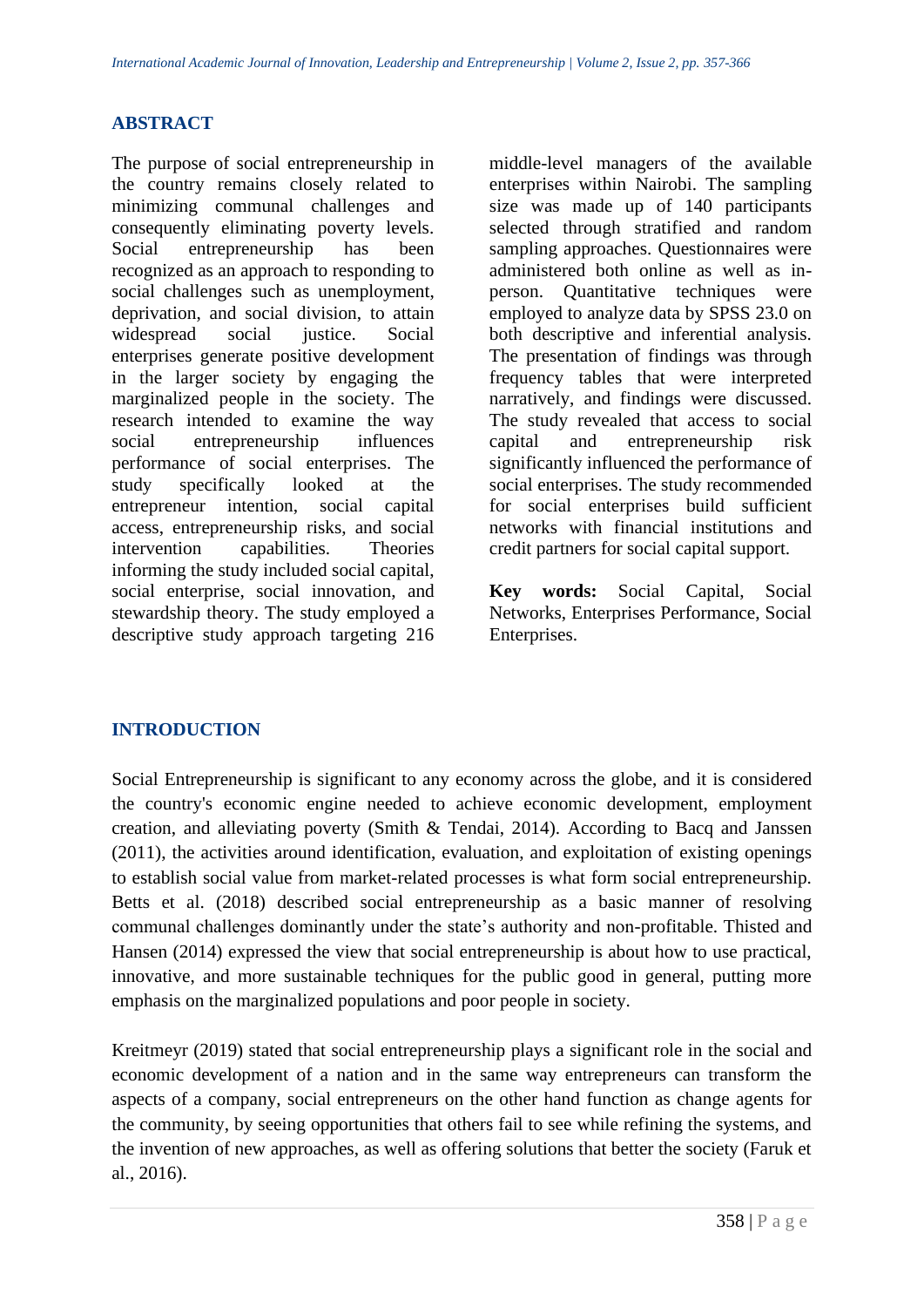#### **ABSTRACT**

The purpose of social entrepreneurship in the country remains closely related to minimizing communal challenges and consequently eliminating poverty levels. Social entrepreneurship has been recognized as an approach to responding to social challenges such as unemployment, deprivation, and social division, to attain widespread social justice. Social enterprises generate positive development in the larger society by engaging the marginalized people in the society. The research intended to examine the way social entrepreneurship influences performance of social enterprises. The study specifically looked at the entrepreneur intention, social capital access, entrepreneurship risks, and social intervention capabilities. Theories informing the study included social capital, social enterprise, social innovation, and stewardship theory. The study employed a descriptive study approach targeting 216 middle-level managers of the available enterprises within Nairobi. The sampling size was made up of 140 participants selected through stratified and random sampling approaches. Questionnaires were administered both online as well as inperson. Quantitative techniques were employed to analyze data by SPSS 23.0 on both descriptive and inferential analysis. The presentation of findings was through frequency tables that were interpreted narratively, and findings were discussed. The study revealed that access to social capital and entrepreneurship risk significantly influenced the performance of social enterprises. The study recommended for social enterprises build sufficient networks with financial institutions and credit partners for social capital support.

**Key words:** Social Capital, Social Networks, Enterprises Performance, Social Enterprises.

#### **INTRODUCTION**

Social Entrepreneurship is significant to any economy across the globe, and it is considered the country's economic engine needed to achieve economic development, employment creation, and alleviating poverty (Smith & Tendai, 2014). According to Bacq and Janssen (2011), the activities around identification, evaluation, and exploitation of existing openings to establish social value from market-related processes is what form social entrepreneurship. Betts et al. (2018) described social entrepreneurship as a basic manner of resolving communal challenges dominantly under the state's authority and non-profitable. Thisted and Hansen (2014) expressed the view that social entrepreneurship is about how to use practical, innovative, and more sustainable techniques for the public good in general, putting more emphasis on the marginalized populations and poor people in society.

Kreitmeyr (2019) stated that social entrepreneurship plays a significant role in the social and economic development of a nation and in the same way entrepreneurs can transform the aspects of a company, social entrepreneurs on the other hand function as change agents for the community, by seeing opportunities that others fail to see while refining the systems, and the invention of new approaches, as well as offering solutions that better the society (Faruk et al., 2016).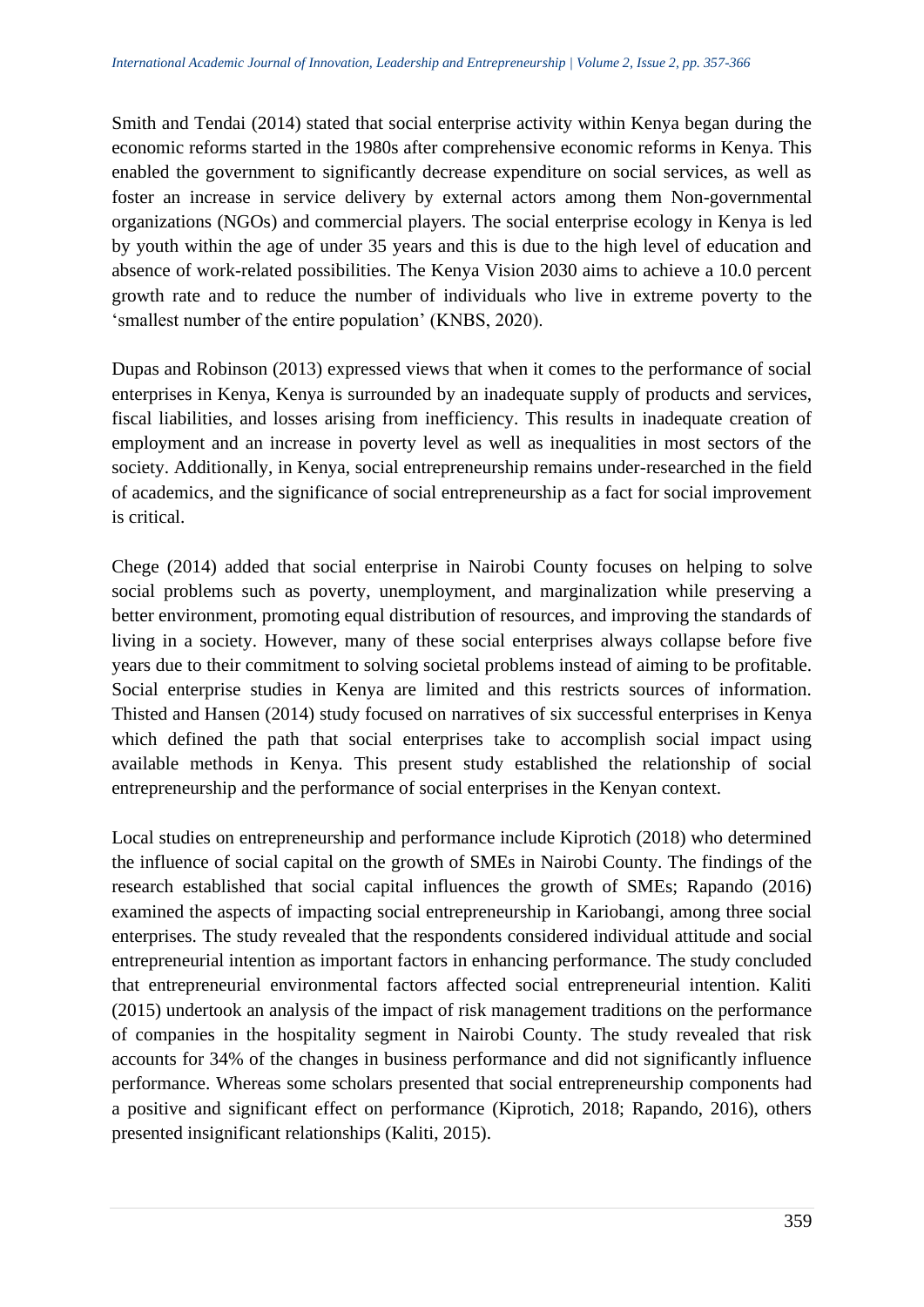Smith and Tendai (2014) stated that social enterprise activity within Kenya began during the economic reforms started in the 1980s after comprehensive economic reforms in Kenya. This enabled the government to significantly decrease expenditure on social services, as well as foster an increase in service delivery by external actors among them Non-governmental organizations (NGOs) and commercial players. The social enterprise ecology in Kenya is led by youth within the age of under 35 years and this is due to the high level of education and absence of work-related possibilities. The Kenya Vision 2030 aims to achieve a 10.0 percent growth rate and to reduce the number of individuals who live in extreme poverty to the 'smallest number of the entire population' (KNBS, 2020).

Dupas and Robinson (2013) expressed views that when it comes to the performance of social enterprises in Kenya, Kenya is surrounded by an inadequate supply of products and services, fiscal liabilities, and losses arising from inefficiency. This results in inadequate creation of employment and an increase in poverty level as well as inequalities in most sectors of the society. Additionally, in Kenya, social entrepreneurship remains under-researched in the field of academics, and the significance of social entrepreneurship as a fact for social improvement is critical.

Chege (2014) added that social enterprise in Nairobi County focuses on helping to solve social problems such as poverty, unemployment, and marginalization while preserving a better environment, promoting equal distribution of resources, and improving the standards of living in a society. However, many of these social enterprises always collapse before five years due to their commitment to solving societal problems instead of aiming to be profitable. Social enterprise studies in Kenya are limited and this restricts sources of information. Thisted and Hansen (2014) study focused on narratives of six successful enterprises in Kenya which defined the path that social enterprises take to accomplish social impact using available methods in Kenya. This present study established the relationship of social entrepreneurship and the performance of social enterprises in the Kenyan context.

Local studies on entrepreneurship and performance include Kiprotich (2018) who determined the influence of social capital on the growth of SMEs in Nairobi County. The findings of the research established that social capital influences the growth of SMEs; Rapando (2016) examined the aspects of impacting social entrepreneurship in Kariobangi, among three social enterprises. The study revealed that the respondents considered individual attitude and social entrepreneurial intention as important factors in enhancing performance. The study concluded that entrepreneurial environmental factors affected social entrepreneurial intention. Kaliti (2015) undertook an analysis of the impact of risk management traditions on the performance of companies in the hospitality segment in Nairobi County. The study revealed that risk accounts for 34% of the changes in business performance and did not significantly influence performance. Whereas some scholars presented that social entrepreneurship components had a positive and significant effect on performance (Kiprotich, 2018; Rapando, 2016), others presented insignificant relationships (Kaliti, 2015).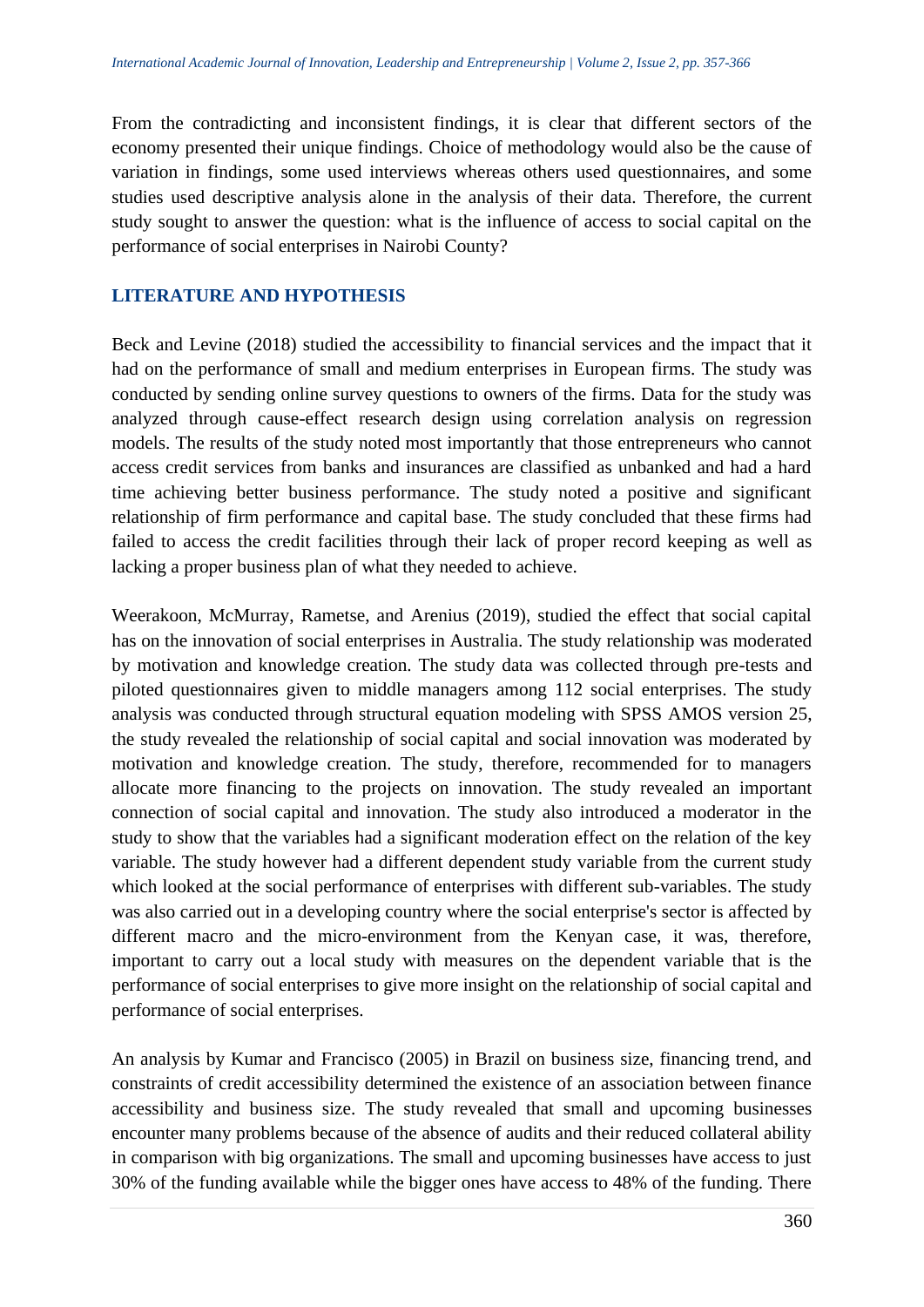From the contradicting and inconsistent findings, it is clear that different sectors of the economy presented their unique findings. Choice of methodology would also be the cause of variation in findings, some used interviews whereas others used questionnaires, and some studies used descriptive analysis alone in the analysis of their data. Therefore, the current study sought to answer the question: what is the influence of access to social capital on the performance of social enterprises in Nairobi County?

#### **LITERATURE AND HYPOTHESIS**

Beck and Levine (2018) studied the accessibility to financial services and the impact that it had on the performance of small and medium enterprises in European firms. The study was conducted by sending online survey questions to owners of the firms. Data for the study was analyzed through cause-effect research design using correlation analysis on regression models. The results of the study noted most importantly that those entrepreneurs who cannot access credit services from banks and insurances are classified as unbanked and had a hard time achieving better business performance. The study noted a positive and significant relationship of firm performance and capital base. The study concluded that these firms had failed to access the credit facilities through their lack of proper record keeping as well as lacking a proper business plan of what they needed to achieve.

Weerakoon, McMurray, Rametse, and Arenius (2019), studied the effect that social capital has on the innovation of social enterprises in Australia. The study relationship was moderated by motivation and knowledge creation. The study data was collected through pre-tests and piloted questionnaires given to middle managers among 112 social enterprises. The study analysis was conducted through structural equation modeling with SPSS AMOS version 25, the study revealed the relationship of social capital and social innovation was moderated by motivation and knowledge creation. The study, therefore, recommended for to managers allocate more financing to the projects on innovation. The study revealed an important connection of social capital and innovation. The study also introduced a moderator in the study to show that the variables had a significant moderation effect on the relation of the key variable. The study however had a different dependent study variable from the current study which looked at the social performance of enterprises with different sub-variables. The study was also carried out in a developing country where the social enterprise's sector is affected by different macro and the micro-environment from the Kenyan case, it was, therefore, important to carry out a local study with measures on the dependent variable that is the performance of social enterprises to give more insight on the relationship of social capital and performance of social enterprises.

An analysis by Kumar and Francisco (2005) in Brazil on business size, financing trend, and constraints of credit accessibility determined the existence of an association between finance accessibility and business size. The study revealed that small and upcoming businesses encounter many problems because of the absence of audits and their reduced collateral ability in comparison with big organizations. The small and upcoming businesses have access to just 30% of the funding available while the bigger ones have access to 48% of the funding. There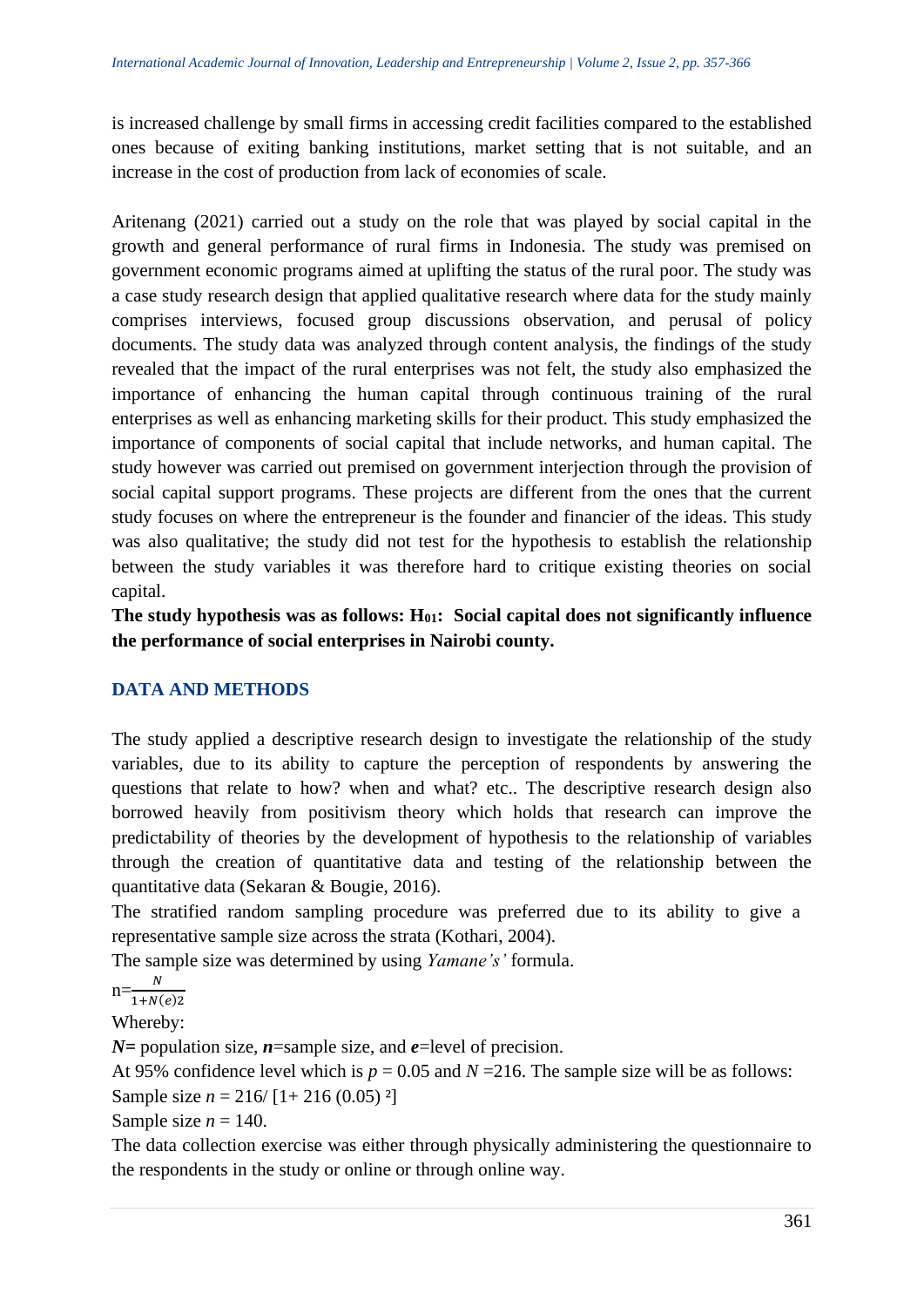is increased challenge by small firms in accessing credit facilities compared to the established ones because of exiting banking institutions, market setting that is not suitable, and an increase in the cost of production from lack of economies of scale.

Aritenang (2021) carried out a study on the role that was played by social capital in the growth and general performance of rural firms in Indonesia. The study was premised on government economic programs aimed at uplifting the status of the rural poor. The study was a case study research design that applied qualitative research where data for the study mainly comprises interviews, focused group discussions observation, and perusal of policy documents. The study data was analyzed through content analysis, the findings of the study revealed that the impact of the rural enterprises was not felt, the study also emphasized the importance of enhancing the human capital through continuous training of the rural enterprises as well as enhancing marketing skills for their product. This study emphasized the importance of components of social capital that include networks, and human capital. The study however was carried out premised on government interjection through the provision of social capital support programs. These projects are different from the ones that the current study focuses on where the entrepreneur is the founder and financier of the ideas. This study was also qualitative; the study did not test for the hypothesis to establish the relationship between the study variables it was therefore hard to critique existing theories on social capital.

**The study hypothesis was as follows: H01: Social capital does not significantly influence the performance of social enterprises in Nairobi county.**

# **DATA AND METHODS**

The study applied a descriptive research design to investigate the relationship of the study variables, due to its ability to capture the perception of respondents by answering the questions that relate to how? when and what? etc.. The descriptive research design also borrowed heavily from positivism theory which holds that research can improve the predictability of theories by the development of hypothesis to the relationship of variables through the creation of quantitative data and testing of the relationship between the quantitative data (Sekaran & Bougie, 2016).

The stratified random sampling procedure was preferred due to its ability to give a representative sample size across the strata (Kothari, 2004).

The sample size was determined by using *Yamane's'* formula.

 $n=\frac{N}{1+N(e)2}$  $N$ 

Whereby:

*N=* population size, *n*=sample size, and *e*=level of precision.

At 95% confidence level which is  $p = 0.05$  and  $N = 216$ . The sample size will be as follows: Sample size  $n = 216/[1 + 216 (0.05)^2]$ 

Sample size  $n = 140$ .

The data collection exercise was either through physically administering the questionnaire to the respondents in the study or online or through online way.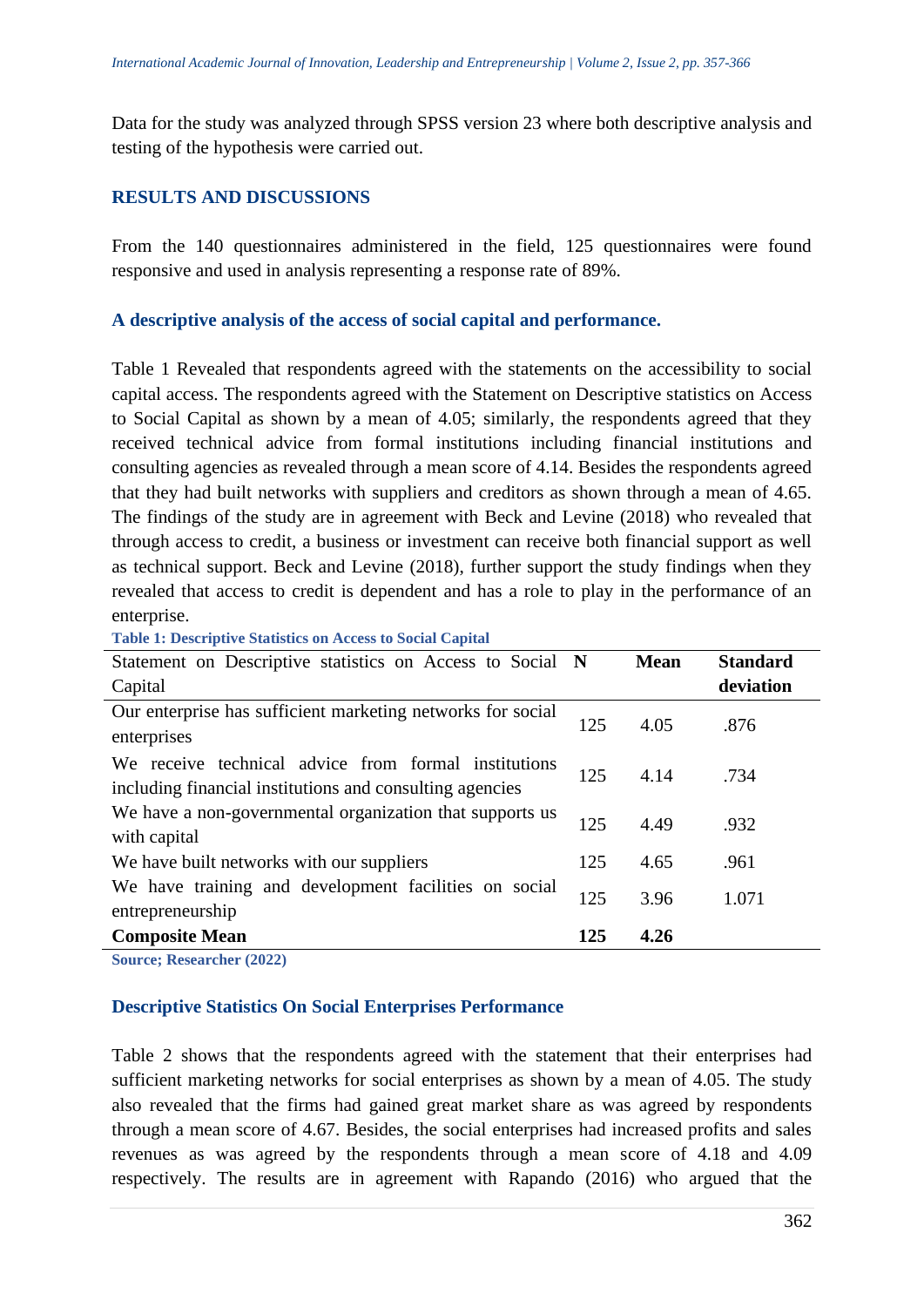Data for the study was analyzed through SPSS version 23 where both descriptive analysis and testing of the hypothesis were carried out.

#### **RESULTS AND DISCUSSIONS**

From the 140 questionnaires administered in the field, 125 questionnaires were found responsive and used in analysis representing a response rate of 89%.

#### **A descriptive analysis of the access of social capital and performance.**

Table 1 Revealed that respondents agreed with the statements on the accessibility to social capital access. The respondents agreed with the Statement on Descriptive statistics on Access to Social Capital as shown by a mean of 4.05; similarly, the respondents agreed that they received technical advice from formal institutions including financial institutions and consulting agencies as revealed through a mean score of 4.14. Besides the respondents agreed that they had built networks with suppliers and creditors as shown through a mean of 4.65. The findings of the study are in agreement with Beck and Levine (2018) who revealed that through access to credit, a business or investment can receive both financial support as well as technical support. Beck and Levine (2018), further support the study findings when they revealed that access to credit is dependent and has a role to play in the performance of an enterprise.

**Table 1: Descriptive Statistics on Access to Social Capital** 

| Statement on Descriptive statistics on Access to Social N                                                        |     | <b>Mean</b> | <b>Standard</b> |
|------------------------------------------------------------------------------------------------------------------|-----|-------------|-----------------|
| Capital                                                                                                          |     |             | deviation       |
| Our enterprise has sufficient marketing networks for social<br>enterprises                                       | 125 | 4.05        | .876            |
| We receive technical advice from formal institutions<br>including financial institutions and consulting agencies | 125 | 4.14        | .734            |
| We have a non-governmental organization that supports us<br>with capital                                         | 125 | 4.49        | .932            |
| We have built networks with our suppliers                                                                        | 125 | 4.65        | .961            |
| We have training and development facilities on social<br>entrepreneurship                                        | 125 | 3.96        | 1.071           |
| <b>Composite Mean</b>                                                                                            | 125 | 4.26        |                 |

**Source; Researcher (2022)**

#### **Descriptive Statistics On Social Enterprises Performance**

Table 2 shows that the respondents agreed with the statement that their enterprises had sufficient marketing networks for social enterprises as shown by a mean of 4.05. The study also revealed that the firms had gained great market share as was agreed by respondents through a mean score of 4.67. Besides, the social enterprises had increased profits and sales revenues as was agreed by the respondents through a mean score of 4.18 and 4.09 respectively. The results are in agreement with Rapando (2016) who argued that the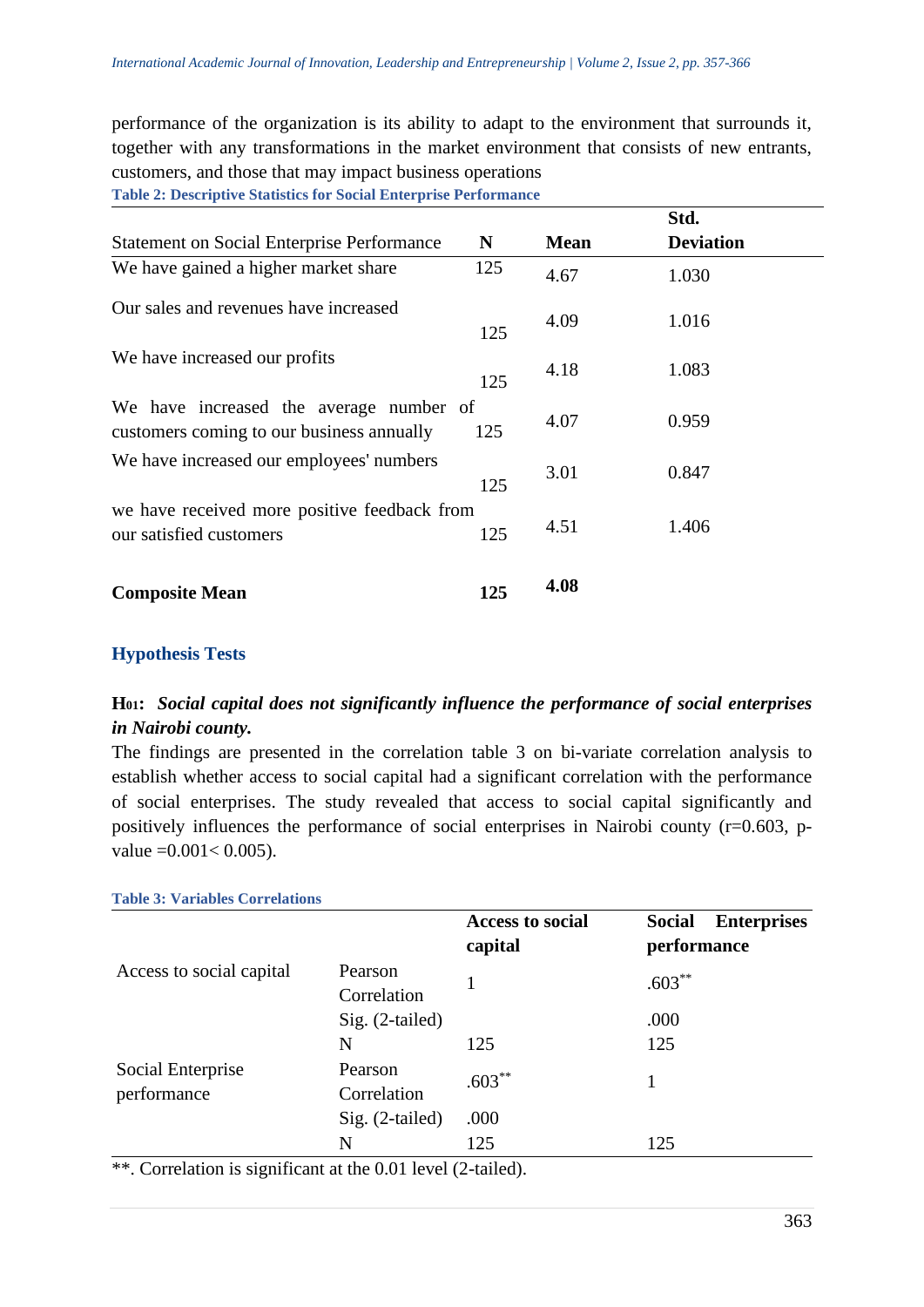performance of the organization is its ability to adapt to the environment that surrounds it, together with any transformations in the market environment that consists of new entrants, customers, and those that may impact business operations

**Table 2: Descriptive Statistics for Social Enterprise Performance**

|                                                                                      |     |             | Std.             |  |
|--------------------------------------------------------------------------------------|-----|-------------|------------------|--|
| <b>Statement on Social Enterprise Performance</b>                                    | N   | <b>Mean</b> | <b>Deviation</b> |  |
| We have gained a higher market share                                                 | 125 | 4.67        | 1.030            |  |
| Our sales and revenues have increased                                                | 125 | 4.09        | 1.016            |  |
| We have increased our profits                                                        | 125 | 4.18        | 1.083            |  |
| We have increased the average number of<br>customers coming to our business annually | 125 | 4.07        | 0.959            |  |
| We have increased our employees' numbers                                             | 125 | 3.01        | 0.847            |  |
| we have received more positive feedback from<br>our satisfied customers              | 125 | 4.51        | 1.406            |  |
| <b>Composite Mean</b>                                                                | 125 | 4.08        |                  |  |

#### **Hypothesis Tests**

# **H01:** *Social capital does not significantly influence the performance of social enterprises in Nairobi county.*

The findings are presented in the correlation table 3 on bi-variate correlation analysis to establish whether access to social capital had a significant correlation with the performance of social enterprises. The study revealed that access to social capital significantly and positively influences the performance of social enterprises in Nairobi county (r=0.603, pvalue  $=0.001< 0.005$ ).

| <b>Table 3: Variables Correlations</b> |                        |                                    |                                                    |
|----------------------------------------|------------------------|------------------------------------|----------------------------------------------------|
|                                        |                        | <b>Access to social</b><br>capital | <b>Enterprises</b><br><b>Social</b><br>performance |
| Access to social capital               | Pearson<br>Correlation |                                    | $.603***$                                          |
|                                        | $Sig. (2-tailed)$      |                                    | .000                                               |
|                                        | N                      | 125                                | 125                                                |
| Social Enterprise<br>performance<br>N  | Pearson<br>Correlation | $.603***$                          |                                                    |
|                                        | $Sig. (2-tailed)$      | .000                               |                                                    |
|                                        |                        | 125                                | 125                                                |

\*\*. Correlation is significant at the 0.01 level (2-tailed).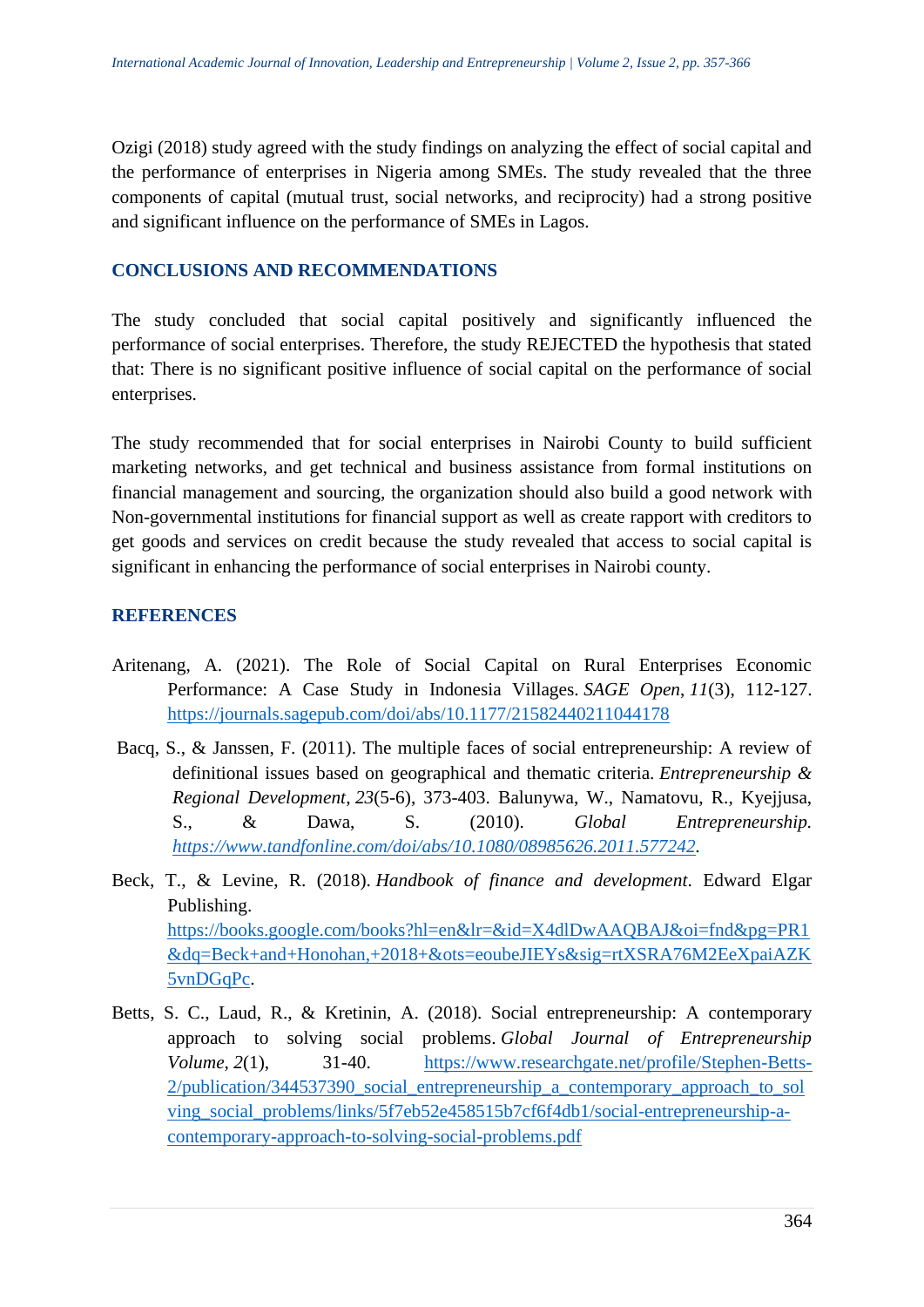Ozigi (2018) study agreed with the study findings on analyzing the effect of social capital and the performance of enterprises in Nigeria among SMEs. The study revealed that the three components of capital (mutual trust, social networks, and reciprocity) had a strong positive and significant influence on the performance of SMEs in Lagos.

## **CONCLUSIONS AND RECOMMENDATIONS**

The study concluded that social capital positively and significantly influenced the performance of social enterprises. Therefore, the study REJECTED the hypothesis that stated that: There is no significant positive influence of social capital on the performance of social enterprises.

The study recommended that for social enterprises in Nairobi County to build sufficient marketing networks, and get technical and business assistance from formal institutions on financial management and sourcing, the organization should also build a good network with Non-governmental institutions for financial support as well as create rapport with creditors to get goods and services on credit because the study revealed that access to social capital is significant in enhancing the performance of social enterprises in Nairobi county.

## **REFERENCES**

- Aritenang, A. (2021). The Role of Social Capital on Rural Enterprises Economic Performance: A Case Study in Indonesia Villages. *SAGE Open*, *11*(3), 112-127. <https://journals.sagepub.com/doi/abs/10.1177/21582440211044178>
- Bacq, S., & Janssen, F. (2011). The multiple faces of social entrepreneurship: A review of definitional issues based on geographical and thematic criteria. *Entrepreneurship & Regional Development*, *23*(5-6), 373-403. Balunywa, W., Namatovu, R., Kyejjusa, S., & Dawa, S. (2010). *Global Entrepreneurship. [https://www.tandfonline.com/doi/abs/10.1080/08985626.2011.577242.](https://www.tandfonline.com/doi/abs/10.1080/08985626.2011.577242)*
- Beck, T., & Levine, R. (2018). *Handbook of finance and development*. Edward Elgar Publishing. [https://books.google.com/books?hl=en&lr=&id=X4dlDwAAQBAJ&oi=fnd&pg=PR1](https://books.google.com/books?hl=en&lr=&id=X4dlDwAAQBAJ&oi=fnd&pg=PR1&dq=Beck+and+Honohan,+2018+&ots=eoubeJIEYs&sig=rtXSRA76M2EeXpaiAZK5vnDGqPc) [&dq=Beck+and+Honohan,+2018+&ots=eoubeJIEYs&sig=rtXSRA76M2EeXpaiAZK](https://books.google.com/books?hl=en&lr=&id=X4dlDwAAQBAJ&oi=fnd&pg=PR1&dq=Beck+and+Honohan,+2018+&ots=eoubeJIEYs&sig=rtXSRA76M2EeXpaiAZK5vnDGqPc) [5vnDGqPc.](https://books.google.com/books?hl=en&lr=&id=X4dlDwAAQBAJ&oi=fnd&pg=PR1&dq=Beck+and+Honohan,+2018+&ots=eoubeJIEYs&sig=rtXSRA76M2EeXpaiAZK5vnDGqPc)
- Betts, S. C., Laud, R., & Kretinin, A. (2018). Social entrepreneurship: A contemporary approach to solving social problems. *Global Journal of Entrepreneurship Volume*, 2(1), 31-40. [https://www.researchgate.net/profile/Stephen-Betts-](https://www.researchgate.net/profile/Stephen-Betts-2/publication/344537390_social_entrepreneurship_a_contemporary_approach_to_solving_social_problems/links/5f7eb52e458515b7cf6f4db1/social-entrepreneurship-a-contemporary-approach-to-solving-social-problems.pdf)2/publication/344537390 social entrepreneurship a contemporary approach to sol [ving\\_social\\_problems/links/5f7eb52e458515b7cf6f4db1/social-entrepreneurship-a](https://www.researchgate.net/profile/Stephen-Betts-2/publication/344537390_social_entrepreneurship_a_contemporary_approach_to_solving_social_problems/links/5f7eb52e458515b7cf6f4db1/social-entrepreneurship-a-contemporary-approach-to-solving-social-problems.pdf)[contemporary-approach-to-solving-social-problems.pdf](https://www.researchgate.net/profile/Stephen-Betts-2/publication/344537390_social_entrepreneurship_a_contemporary_approach_to_solving_social_problems/links/5f7eb52e458515b7cf6f4db1/social-entrepreneurship-a-contemporary-approach-to-solving-social-problems.pdf)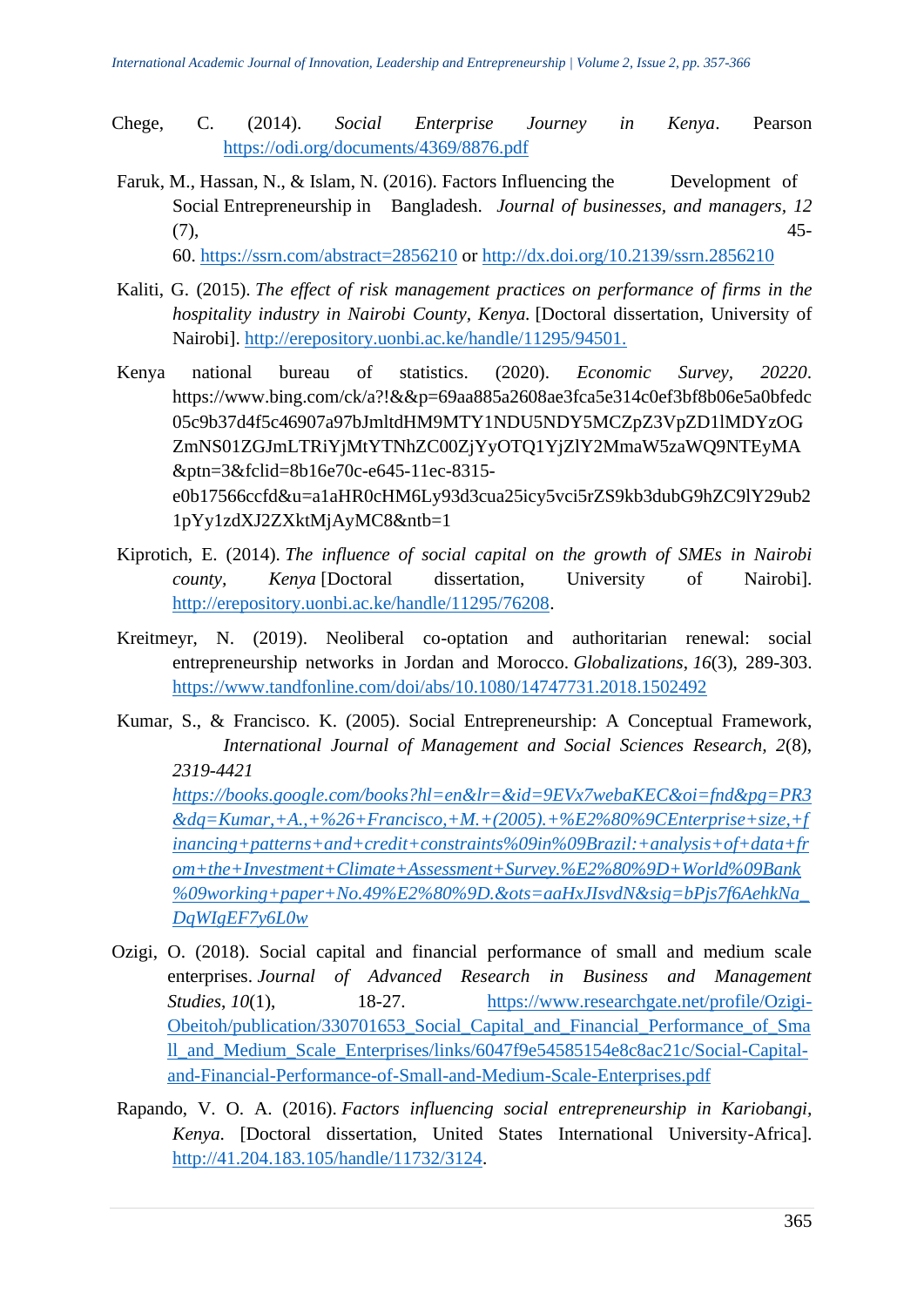- Chege, C. (2014). *Social Enterprise Journey in Kenya*. Pearson <https://odi.org/documents/4369/8876.pdf>
- Faruk, M., Hassan, N., & Islam, N. (2016). Factors Influencing the Development of Social Entrepreneurship in Bangladesh. *Journal of businesses, and managers, 12* (7), 45-

60. <https://ssrn.com/abstract=2856210> or <http://dx.doi.org/10.2139/ssrn.2856210>

- Kaliti, G. (2015). *The effect of risk management practices on performance of firms in the hospitality industry in Nairobi County, Kenya.* [Doctoral dissertation, University of Nairobi]. [http://erepository.uonbi.ac.ke/handle/11295/94501.](http://erepository.uonbi.ac.ke/handle/11295/94501)
- Kenya national bureau of statistics. (2020). *Economic Survey, 20220*. https://www.bing.com/ck/a?!&&p=69aa885a2608ae3fca5e314c0ef3bf8b06e5a0bfedc 05c9b37d4f5c46907a97bJmltdHM9MTY1NDU5NDY5MCZpZ3VpZD1lMDYzOG ZmNS01ZGJmLTRiYjMtYTNhZC00ZjYyOTQ1YjZlY2MmaW5zaWQ9NTEyMA &ptn=3&fclid=8b16e70c-e645-11ec-8315 e0b17566ccfd&u=a1aHR0cHM6Ly93d3cua25icy5vci5rZS9kb3dubG9hZC9lY29ub2 1pYy1zdXJ2ZXktMjAyMC8&ntb=1
- Kiprotich, E. (2014). *The influence of social capital on the growth of SMEs in Nairobi county, Kenya* [Doctoral dissertation, University of Nairobi]. [http://erepository.uonbi.ac.ke/handle/11295/76208.](http://erepository.uonbi.ac.ke/handle/11295/76208)
- Kreitmeyr, N. (2019). Neoliberal co-optation and authoritarian renewal: social entrepreneurship networks in Jordan and Morocco. *Globalizations*, *16*(3), 289-303. <https://www.tandfonline.com/doi/abs/10.1080/14747731.2018.1502492>
- Kumar, S., & Francisco. K. (2005). Social Entrepreneurship: A Conceptual Framework, *International Journal of Management and Social Sciences Research, 2*(8), *2319-4421 [https://books.google.com/books?hl=en&lr=&id=9EVx7webaKEC&oi=fnd&pg=PR3](https://books.google.com/books?hl=en&lr=&id=9EVx7webaKEC&oi=fnd&pg=PR3&dq=Kumar,+A.,+%26+Francisco,+M.+(2005).+%E2%80%9CEnterprise+size,+financing+patterns+and+credit+constraints%09in%09Brazil:+analysis+of+data+from+the+Investment+Climate+Assessment+Survey.%E2%80%9D+World%09Bank%09working+paper+No.49%E2%80%9D.&ots=aaHxJIsvdN&sig=bPjs7f6AehkNa_DqWIgEF7y6L0w) [&dq=Kumar,+A.,+%26+Francisco,+M.+\(2005\).+%E2%80%9CEnterprise+size,+f](https://books.google.com/books?hl=en&lr=&id=9EVx7webaKEC&oi=fnd&pg=PR3&dq=Kumar,+A.,+%26+Francisco,+M.+(2005).+%E2%80%9CEnterprise+size,+financing+patterns+and+credit+constraints%09in%09Brazil:+analysis+of+data+from+the+Investment+Climate+Assessment+Survey.%E2%80%9D+World%09Bank%09working+paper+No.49%E2%80%9D.&ots=aaHxJIsvdN&sig=bPjs7f6AehkNa_DqWIgEF7y6L0w) [inancing+patterns+and+credit+constraints%09in%09Brazil:+analysis+of+data+fr](https://books.google.com/books?hl=en&lr=&id=9EVx7webaKEC&oi=fnd&pg=PR3&dq=Kumar,+A.,+%26+Francisco,+M.+(2005).+%E2%80%9CEnterprise+size,+financing+patterns+and+credit+constraints%09in%09Brazil:+analysis+of+data+from+the+Investment+Climate+Assessment+Survey.%E2%80%9D+World%09Bank%09working+paper+No.49%E2%80%9D.&ots=aaHxJIsvdN&sig=bPjs7f6AehkNa_DqWIgEF7y6L0w) [om+the+Investment+Climate+Assessment+Survey.%E2%80%9D+World%09Bank](https://books.google.com/books?hl=en&lr=&id=9EVx7webaKEC&oi=fnd&pg=PR3&dq=Kumar,+A.,+%26+Francisco,+M.+(2005).+%E2%80%9CEnterprise+size,+financing+patterns+and+credit+constraints%09in%09Brazil:+analysis+of+data+from+the+Investment+Climate+Assessment+Survey.%E2%80%9D+World%09Bank%09working+paper+No.49%E2%80%9D.&ots=aaHxJIsvdN&sig=bPjs7f6AehkNa_DqWIgEF7y6L0w) [%09working+paper+No.49%E2%80%9D.&ots=aaHxJIsvdN&sig=bPjs7f6AehkNa\\_](https://books.google.com/books?hl=en&lr=&id=9EVx7webaKEC&oi=fnd&pg=PR3&dq=Kumar,+A.,+%26+Francisco,+M.+(2005).+%E2%80%9CEnterprise+size,+financing+patterns+and+credit+constraints%09in%09Brazil:+analysis+of+data+from+the+Investment+Climate+Assessment+Survey.%E2%80%9D+World%09Bank%09working+paper+No.49%E2%80%9D.&ots=aaHxJIsvdN&sig=bPjs7f6AehkNa_DqWIgEF7y6L0w) [DqWIgEF7y6L0w](https://books.google.com/books?hl=en&lr=&id=9EVx7webaKEC&oi=fnd&pg=PR3&dq=Kumar,+A.,+%26+Francisco,+M.+(2005).+%E2%80%9CEnterprise+size,+financing+patterns+and+credit+constraints%09in%09Brazil:+analysis+of+data+from+the+Investment+Climate+Assessment+Survey.%E2%80%9D+World%09Bank%09working+paper+No.49%E2%80%9D.&ots=aaHxJIsvdN&sig=bPjs7f6AehkNa_DqWIgEF7y6L0w)*
- Ozigi, O. (2018). Social capital and financial performance of small and medium scale enterprises. *Journal of Advanced Research in Business and Management Studies*, *10*(1), 18-27. [https://www.researchgate.net/profile/Ozigi-](https://www.researchgate.net/profile/Ozigi-Obeitoh/publication/330701653_Social_Capital_and_Financial_Performance_of_Small_and_Medium_Scale_Enterprises/links/6047f9e54585154e8c8ac21c/Social-Capital-and-Financial-Performance-of-Small-and-Medium-Scale-Enterprises.pdf)[Obeitoh/publication/330701653\\_Social\\_Capital\\_and\\_Financial\\_Performance\\_of\\_Sma](https://www.researchgate.net/profile/Ozigi-Obeitoh/publication/330701653_Social_Capital_and_Financial_Performance_of_Small_and_Medium_Scale_Enterprises/links/6047f9e54585154e8c8ac21c/Social-Capital-and-Financial-Performance-of-Small-and-Medium-Scale-Enterprises.pdf) [ll\\_and\\_Medium\\_Scale\\_Enterprises/links/6047f9e54585154e8c8ac21c/Social-Capital](https://www.researchgate.net/profile/Ozigi-Obeitoh/publication/330701653_Social_Capital_and_Financial_Performance_of_Small_and_Medium_Scale_Enterprises/links/6047f9e54585154e8c8ac21c/Social-Capital-and-Financial-Performance-of-Small-and-Medium-Scale-Enterprises.pdf)[and-Financial-Performance-of-Small-and-Medium-Scale-Enterprises.pdf](https://www.researchgate.net/profile/Ozigi-Obeitoh/publication/330701653_Social_Capital_and_Financial_Performance_of_Small_and_Medium_Scale_Enterprises/links/6047f9e54585154e8c8ac21c/Social-Capital-and-Financial-Performance-of-Small-and-Medium-Scale-Enterprises.pdf)
- Rapando, V. O. A. (2016). *Factors influencing social entrepreneurship in Kariobangi, Kenya*. [Doctoral dissertation, United States International University-Africa]. [http://41.204.183.105/handle/11732/3124.](http://41.204.183.105/handle/11732/3124)